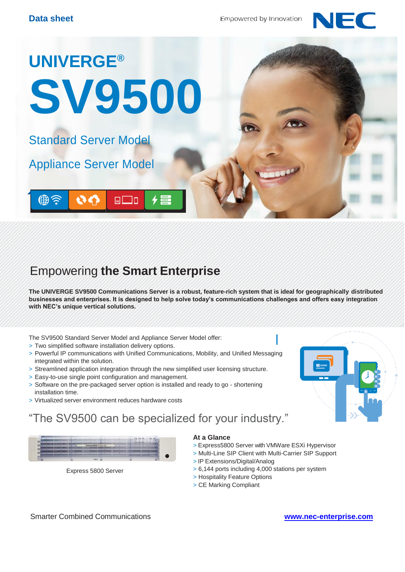



## Empowering **the Smart Enterprise**

**The UNIVERGE SV9500 Communications Server is a robust, feature-rich system that is ideal for geographically distributed businesses and enterprises. It is designed to help solve today's communications challenges and offers easy integration with NEC's unique vertical solutions.**

The SV9500 Standard Server Model and Appliance Server Model offer:

- > Two simplified software installation delivery options.
- > Powerful IP communications with Unified Communications, Mobility, and Unified Messaging integrated within the solution.
- > Streamlined application integration through the new simplified user licensing structure.
- > Easy-to-use single point configuration and management.
- > Software on the pre-packaged server option is installed and ready to go shortening installation time.
- > Virtualized server environment reduces hardware costs

### "The SV9500 can be specialized for your industry."



Express 5800 Server

#### **At a Glance**

- > Express5800 Server with VMWare ESXi Hypervisor
- > Multi-Line SIP Client with Multi-Carrier SIP Support
- > IP Extensions/Digital/Analog
- > 6,144 ports including 4,000 stations per system
- > Hospitality Feature Options
- > CE Marking Compliant

Smarter Combined Communications **[www.nec-enterprise.com](http://www.nec-enterprise.com/)**